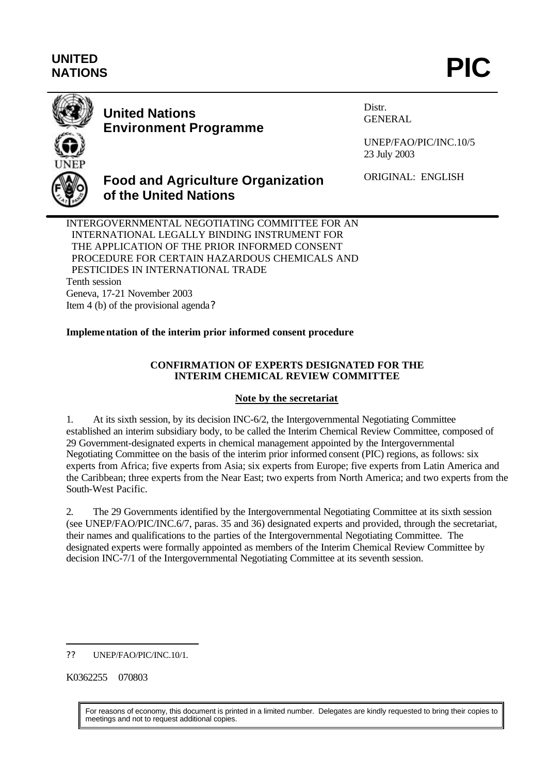# **UNITED** UNITED<br>NATIONS **PIC**



# **United Nations Environment Programme**

Distr. GENERAL

UNEP/FAO/PIC/INC.10/5 23 July 2003

ORIGINAL: ENGLISH

**of the United Nations** INTERGOVERNMENTAL NEGOTIATING COMMITTEE FOR AN INTERNATIONAL LEGALLY BINDING INSTRUMENT FOR THE APPLICATION OF THE PRIOR INFORMED CONSENT PROCEDURE FOR CERTAIN HAZARDOUS CHEMICALS AND PESTICIDES IN INTERNATIONAL TRADE

**Food and Agriculture Organization**

Tenth session

Geneva, 17-21 November 2003 Item 4 (b) of the provisional agenda?

#### **Implementation of the interim prior informed consent procedure**

#### **CONFIRMATION OF EXPERTS DESIGNATED FOR THE INTERIM CHEMICAL REVIEW COMMITTEE**

#### **Note by the secretariat**

1. At its sixth session, by its decision INC-6/2, the Intergovernmental Negotiating Committee established an interim subsidiary body, to be called the Interim Chemical Review Committee, composed of 29 Government-designated experts in chemical management appointed by the Intergovernmental Negotiating Committee on the basis of the interim prior informed consent (PIC) regions, as follows: six experts from Africa; five experts from Asia; six experts from Europe; five experts from Latin America and the Caribbean; three experts from the Near East; two experts from North America; and two experts from the South-West Pacific.

2. The 29 Governments identified by the Intergovernmental Negotiating Committee at its sixth session (see UNEP/FAO/PIC/INC.6/7, paras. 35 and 36) designated experts and provided, through the secretariat, their names and qualifications to the parties of the Intergovernmental Negotiating Committee. The designated experts were formally appointed as members of the Interim Chemical Review Committee by decision INC-7/1 of the Intergovernmental Negotiating Committee at its seventh session.

K0362255 070803

l

For reasons of economy, this document is printed in a limited number. Delegates are kindly requested to bring their copies to meetings and not to request additional copies.

<sup>??</sup> UNEP/FAO/PIC/INC.10/1.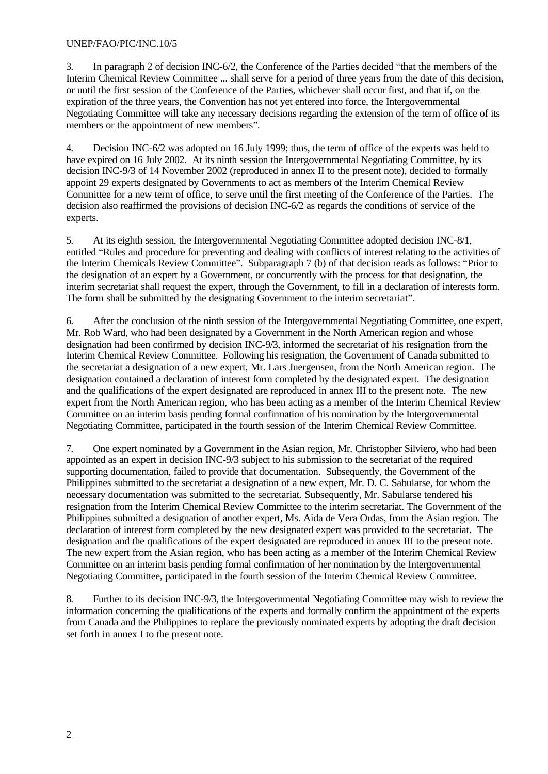#### UNEP/FAO/PIC/INC.10/5

3. In paragraph 2 of decision INC-6/2, the Conference of the Parties decided "that the members of the Interim Chemical Review Committee ... shall serve for a period of three years from the date of this decision, or until the first session of the Conference of the Parties, whichever shall occur first, and that if, on the expiration of the three years, the Convention has not yet entered into force, the Intergovernmental Negotiating Committee will take any necessary decisions regarding the extension of the term of office of its members or the appointment of new members".

4. Decision INC-6/2 was adopted on 16 July 1999; thus, the term of office of the experts was held to have expired on 16 July 2002. At its ninth session the Intergovernmental Negotiating Committee, by its decision INC-9/3 of 14 November 2002 (reproduced in annex II to the present note), decided to formally appoint 29 experts designated by Governments to act as members of the Interim Chemical Review Committee for a new term of office, to serve until the first meeting of the Conference of the Parties. The decision also reaffirmed the provisions of decision INC-6/2 as regards the conditions of service of the experts.

5. At its eighth session, the Intergovernmental Negotiating Committee adopted decision INC-8/1, entitled "Rules and procedure for preventing and dealing with conflicts of interest relating to the activities of the Interim Chemicals Review Committee". Subparagraph 7 (b) of that decision reads as follows: "Prior to the designation of an expert by a Government, or concurrently with the process for that designation, the interim secretariat shall request the expert, through the Government, to fill in a declaration of interests form. The form shall be submitted by the designating Government to the interim secretariat".

6. After the conclusion of the ninth session of the Intergovernmental Negotiating Committee, one expert, Mr. Rob Ward, who had been designated by a Government in the North American region and whose designation had been confirmed by decision INC-9/3, informed the secretariat of his resignation from the Interim Chemical Review Committee. Following his resignation, the Government of Canada submitted to the secretariat a designation of a new expert, Mr. Lars Juergensen, from the North American region. The designation contained a declaration of interest form completed by the designated expert. The designation and the qualifications of the expert designated are reproduced in annex III to the present note. The new expert from the North American region, who has been acting as a member of the Interim Chemical Review Committee on an interim basis pending formal confirmation of his nomination by the Intergovernmental Negotiating Committee, participated in the fourth session of the Interim Chemical Review Committee.

7. One expert nominated by a Government in the Asian region, Mr. Christopher Silviero, who had been appointed as an expert in decision INC-9/3 subject to his submission to the secretariat of the required supporting documentation, failed to provide that documentation. Subsequently, the Government of the Philippines submitted to the secretariat a designation of a new expert, Mr. D. C. Sabularse, for whom the necessary documentation was submitted to the secretariat. Subsequently, Mr. Sabularse tendered his resignation from the Interim Chemical Review Committee to the interim secretariat. The Government of the Philippines submitted a designation of another expert, Ms. Aida de Vera Ordas, from the Asian region. The declaration of interest form completed by the new designated expert was provided to the secretariat. The designation and the qualifications of the expert designated are reproduced in annex III to the present note. The new expert from the Asian region, who has been acting as a member of the Interim Chemical Review Committee on an interim basis pending formal confirmation of her nomination by the Intergovernmental Negotiating Committee, participated in the fourth session of the Interim Chemical Review Committee.

8. Further to its decision INC-9/3, the Intergovernmental Negotiating Committee may wish to review the information concerning the qualifications of the experts and formally confirm the appointment of the experts from Canada and the Philippines to replace the previously nominated experts by adopting the draft decision set forth in annex I to the present note.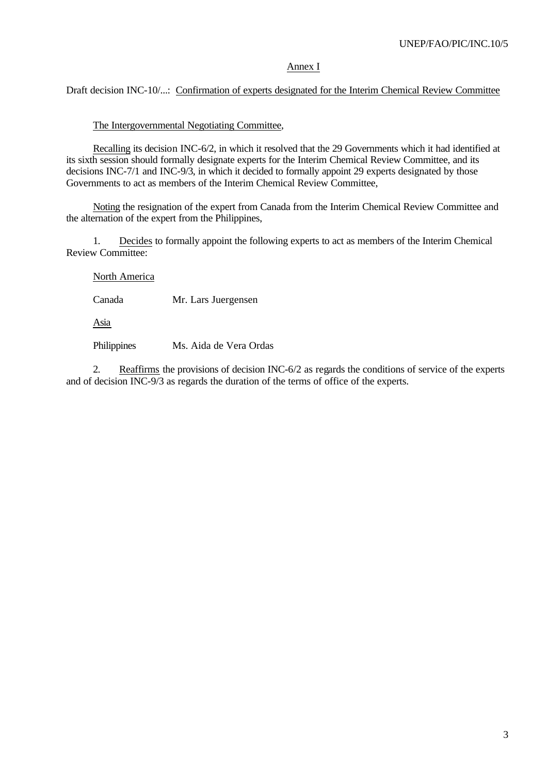#### Annex I

#### Draft decision INC-10/...: Confirmation of experts designated for the Interim Chemical Review Committee

#### The Intergovernmental Negotiating Committee,

Recalling its decision INC-6/2, in which it resolved that the 29 Governments which it had identified at its sixth session should formally designate experts for the Interim Chemical Review Committee, and its decisions INC-7/1 and INC-9/3, in which it decided to formally appoint 29 experts designated by those Governments to act as members of the Interim Chemical Review Committee,

Noting the resignation of the expert from Canada from the Interim Chemical Review Committee and the alternation of the expert from the Philippines,

1. Decides to formally appoint the following experts to act as members of the Interim Chemical Review Committee:

North America

Canada Mr. Lars Juergensen

Asia

Philippines Ms. Aida de Vera Ordas

2. Reaffirms the provisions of decision INC-6/2 as regards the conditions of service of the experts and of decision INC-9/3 as regards the duration of the terms of office of the experts.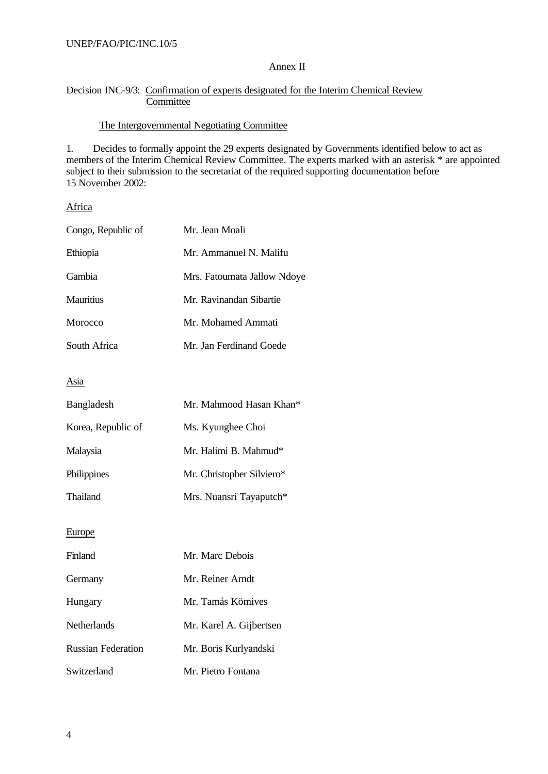#### Annex II

#### Decision INC-9/3: Confirmation of experts designated for the Interim Chemical Review **Committee**

#### The Intergovernmental Negotiating Committee

1. Decides to formally appoint the 29 experts designated by Governments identified below to act as members of the Interim Chemical Review Committee. The experts marked with an asterisk \* are appointed subject to their submission to the secretariat of the required supporting documentation before 15 November 2002:

Africa

| Congo, Republic of        | Mr. Jean Moali              |  |  |
|---------------------------|-----------------------------|--|--|
| Ethiopia                  | Mr. Ammanuel N. Malifu      |  |  |
| Gambia                    | Mrs. Fatoumata Jallow Ndoye |  |  |
| <b>Mauritius</b>          | Mr. Ravinandan Sibartie     |  |  |
| Morocco                   | Mr. Mohamed Ammati          |  |  |
| South Africa              | Mr. Jan Ferdinand Goede     |  |  |
| Asia                      |                             |  |  |
| Bangladesh                | Mr. Mahmood Hasan Khan*     |  |  |
| Korea, Republic of        | Ms. Kyunghee Choi           |  |  |
| Malaysia                  | Mr. Halimi B. Mahmud*       |  |  |
| Philippines               | Mr. Christopher Silviero*   |  |  |
| Thailand                  | Mrs. Nuansri Tayaputch*     |  |  |
| Europe                    |                             |  |  |
| Finland                   | Mr. Marc Debois             |  |  |
| Germany                   | Mr. Reiner Arndt            |  |  |
| Hungary                   | Mr. Tamás Kömives           |  |  |
| <b>Netherlands</b>        | Mr. Karel A. Gijbertsen     |  |  |
| <b>Russian Federation</b> | Mr. Boris Kurlyandski       |  |  |
| Switzerland               | Mr. Pietro Fontana          |  |  |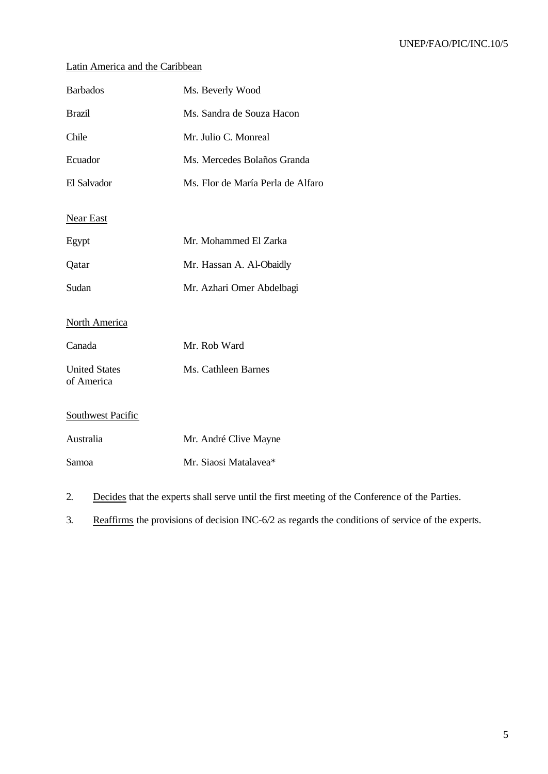#### UNEP/FAO/PIC/INC.10/5

## Latin America and the Caribbean

| <b>Barbados</b>                    | Ms. Beverly Wood                  |
|------------------------------------|-----------------------------------|
| <b>Brazil</b>                      | Ms. Sandra de Souza Hacon         |
| Chile                              | Mr. Julio C. Monreal              |
| Ecuador                            | Ms. Mercedes Bolaños Granda       |
| El Salvador                        | Ms. Flor de María Perla de Alfaro |
| <b>Near East</b>                   |                                   |
| Egypt                              | Mr. Mohammed El Zarka             |
| Qatar                              | Mr. Hassan A. Al-Obaidly          |
| Sudan                              | Mr. Azhari Omer Abdelbagi         |
| <b>North America</b>               |                                   |
| Canada                             | Mr. Rob Ward                      |
| <b>United States</b><br>of America | Ms. Cathleen Barnes               |
| <b>Southwest Pacific</b>           |                                   |
| Australia                          | Mr. André Clive Mayne             |
| Samoa                              | Mr. Siaosi Matalavea*             |
|                                    |                                   |

2. Decides that the experts shall serve until the first meeting of the Conference of the Parties.

3. Reaffirms the provisions of decision INC-6/2 as regards the conditions of service of the experts.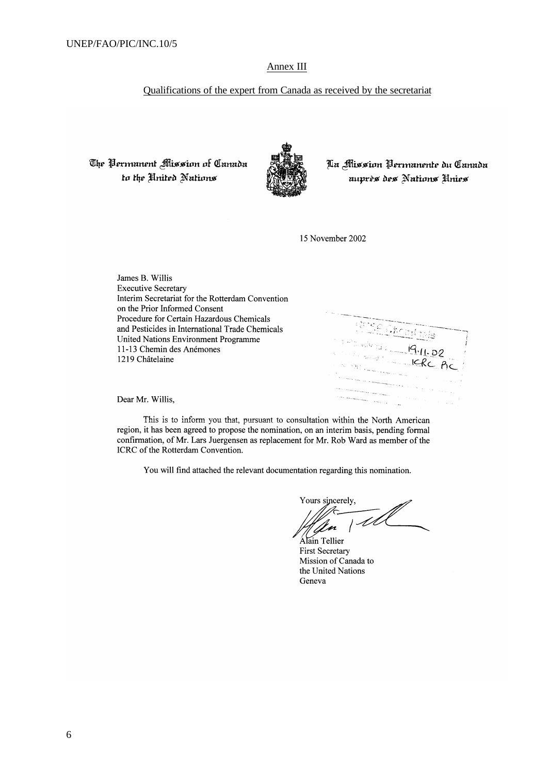#### Annex III

#### Qualifications of the expert from Canada as received by the secretariat

The Permanent Mission of Canada to the United Nations



Aa Mission Permanente du Canada auprès des Nations Unies

15 November 2002

James B. Willis **Executive Secretary** Interim Secretariat for the Rotterdam Convention on the Prior Informed Consent Procedure for Certain Hazardous Chemicals and Pesticides in International Trade Chemicals United Nations Environment Programme 11-13 Chemin des Anémones 1219 Châtelaine

**Service** 

Dear Mr. Willis.

This is to inform you that, pursuant to consultation within the North American region, it has been agreed to propose the nomination, on an interim basis, pending formal confirmation, of Mr. Lars Juergensen as replacement for Mr. Rob Ward as member of the ICRC of the Rotterdam Convention.

You will find attached the relevant documentation regarding this nomination.

Yours sincerely,  $\overline{11}$ 

Alain Tellier **First Secretary** Mission of Canada to the United Nations Geneva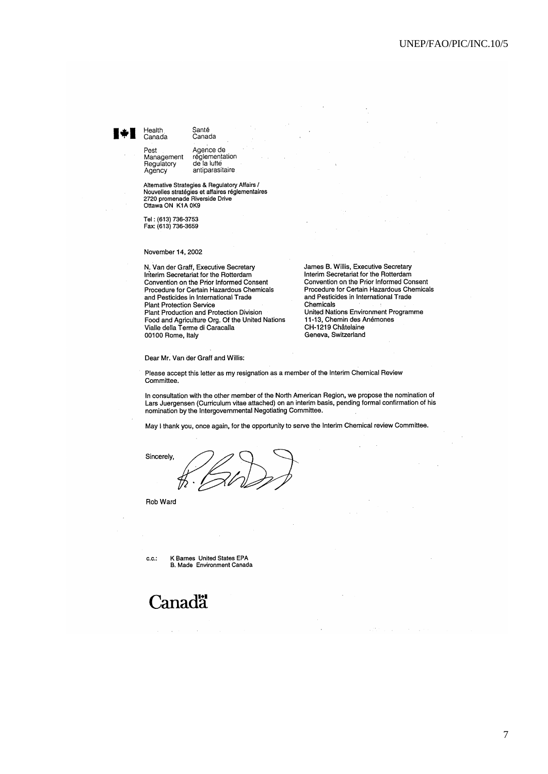# Health

Canada

Agency

Pest

Santé Canada

Agence de réglementation<br>de la lutte Management<br>Regulatory antiparasitaire

Alternative Strategies & Regulatory Affairs /<br>Nouvelles stratégies et affaires réglementaires<br>2720 promenade Riverside Drive<br>Ottawa ON K1A 0K9

Tel: (613) 736-3753<br>Fax: (613) 736-3659

November 14, 2002

N. Van der Graff, Executive Secretary Interim Secretariat for the Rotterdam<br>Convention on the Prior Informed Consent Procedure for Certain Hazardous Chemicals and Pesticides in International Trade Plant Protection Service Plant Production and Protection Division Food and Agriculture Org. Of the United Nations Vialle della Terme di Caracalla 00100 Rome, Italy

James B. Willis, Executive Secretary Interim Secretariat for the Rotterdam Convention on the Prior Informed Consent Procedure for Certain Hazardous Chemicals and Pesticides in International Trade Chemicals United Nations Environment Programme

11-13, Chemin des Anémones CH-1219 Châtelaine Geneva, Switzerland

Dear Mr. Van der Graff and Willis:

Please accept this letter as my resignation as a member of the Interim Chemical Review Committee

In consultation with the other member of the North American Region, we propose the nomination of Lars Juergensen (Curriculum vitae attached) on an interim basis, pending formal confirmation of his nomination by the Intergovernmental Negotiating Committee.

May I thank you, once again, for the opportunity to serve the Interim Chemical review Committee.

Sincerely,

Rob Ward

 $c.c.$ 

K Barnes United States EPA B. Made Environment Canada

# **Canadä**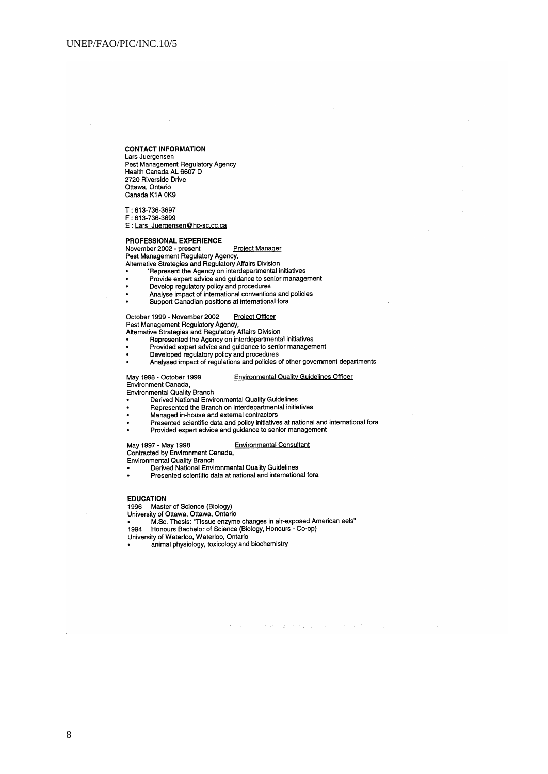#### **CONTACT INFORMATION**

Lars Juergensen The Management Regulatory Agency<br>Health Canada AL 6607 D<br>2720 Riverside Drive Ottawa, Ontario<br>Canada K1A 0K9

T: 613-736-3697 F: 613-736-3699

E : Lars Juergensen@hc-sc.gc.ca

#### **PROFESSIONAL EXPERIENCE**

### Procession<br>
November 2002 - present<br>
Project Manager<br>
Pest Management Regulatory Agency,<br>
Alternative Strategies and Regulatory Affairs Division Project Manager

- Represent the Agency on interdepartmental initiatives
- Provide expert advice and guidance to senior management
- 
- Develop regulatory policy and procedures<br>Analyse impact of international conventions and policies
- 
- Support Canadian positions at international fora

- 
- October 1999 November 2002<br>
Project Officer<br>
Pest Management Regulatory Agency,<br>
Alternative Strategies and Regulatory Affairs Division<br>
 Represented the Agency on interdepartmental initiatives<br>
 Provided expert advice
- 
- Analysed impact of regulations and policies of other government departments

#### May 1998 - October 1999 Environment Canada,

**Environmental Quality Branch** 

- Derived National Environmental Quality Guidelines
- Represented the Branch on interdepartmental initiatives
- 
- Managed in-house and external contractors<br>Presented scientific data and policy initiatives at national and international for<br>a Provided expert advice and guidance to senior management
- 

#### **Environmental Consultant**

**Environmental Quality Guidelines Officer** 

social and consist properties and consistent

May 1997 - May 1998<br>Contracted by Environment Canada,<br>Environmental Quality Branch<br>• Derived National Environmental Quality Guidelines

Presented scientific data at national and international fora

#### **EDUCATION**

1996 Master of Science (Biology)

University of Ottawa, Ottawa, Ontario

M.Sc. Thesis: "Tissue enzyme changes in air-exposed American eels"

in.<br>Se

Honours Bachelor of Science (Biology, Honours - Co-op) 1994

 $\bar{z}$ 

- University of Waterloo, Waterloo, Ontario
- animal physiology, toxicology and biochemistry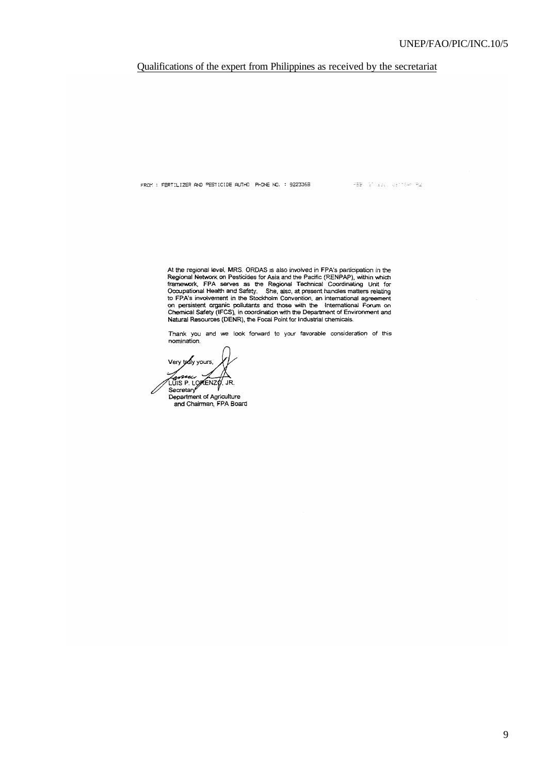#### UNEP/FAO/PIC/INC.10/5

#### Qualifications of the expert from Philippines as received by the secretariat

FROM : FERTILIZER AND PESTICIDE AUTHO PHONE NO. : 9223369

**FEB** of absolution R2

At the regional level, MRS. ORDAS is also involved in FPA's participation in the Regional Network on Pesticides for Asia and the Pacific (RENPAP), within which framework, FPA serves as the Regional Technical Coordinating U

Thank you and we look forward to your favorable consideration of this nomination.

Very tody yours, nn. Lower<br>LUIS P. LOWENZO, JR.<br>Secretary

Secretary<br>Department of Agriculture<br>and Chairman, FPA Board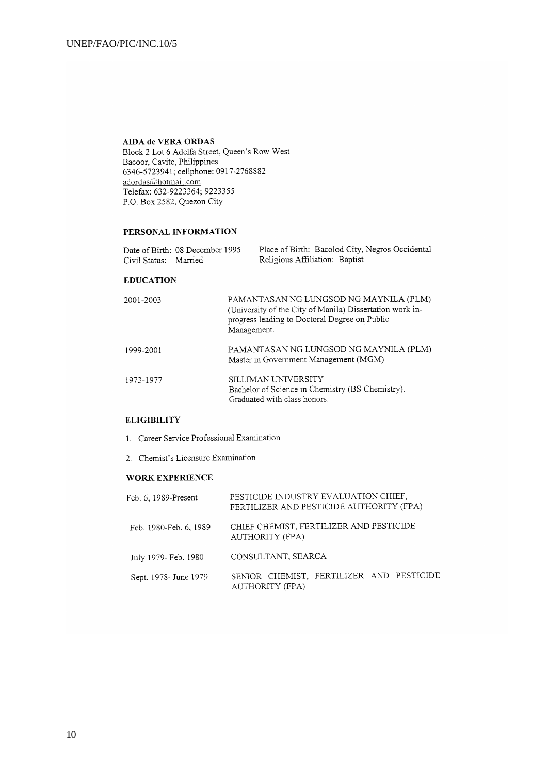#### AIDA de VERA ORDAS

Block 2 Lot 6 Adelfa Street, Queen's Row West Bacoor, Cavite, Philippines 6346-5723941; cellphone: 0917-2768882 adordas@hotmail.com Telefax: 632-9223364; 9223355 P.O. Box 2582, Quezon City

#### PERSONAL INFORMATION

|                       | Date of Birth: 08 December 1995 | Place of Birth: Bacolod City, Negros Occidental |
|-----------------------|---------------------------------|-------------------------------------------------|
| Civil Status: Married |                                 | Religious Affiliation: Baptist                  |

#### **EDUCATION**

| 2001-2003 | PAMANTASAN NG LUNGSOD NG MAYNILA (PLM)<br>(University of the City of Manila) Dissertation work in-<br>progress leading to Doctoral Degree on Public<br>Management. |
|-----------|--------------------------------------------------------------------------------------------------------------------------------------------------------------------|
| 1999-2001 | PAMANTASAN NG LUNGSOD NG MAYNILA (PLM)<br>Master in Government Management (MGM)                                                                                    |
| 1973-1977 | SILLIMAN UNIVERSITY<br>Bachelor of Science in Chemistry (BS Chemistry).<br>Graduated with class honors.                                                            |

#### **ELIGIBILITY**

1. Career Service Professional Examination

2. Chemist's Licensure Examination

#### WORK EXPERIENCE

| Feb. 6, 1989-Present   | PESTICIDE INDUSTRY EVALUATION CHIEF,<br>FERTILIZER AND PESTICIDE AUTHORITY (FPA) |  |  |
|------------------------|----------------------------------------------------------------------------------|--|--|
| Feb. 1980-Feb. 6, 1989 | CHIEF CHEMIST, FERTILIZER AND PESTICIDE<br>AUTHORITY (FPA)                       |  |  |
| July 1979- Feb. 1980   | CONSULTANT, SEARCA                                                               |  |  |
| Sept. 1978 - June 1979 | SENIOR CHEMIST, FERTILIZER AND PESTICIDE<br><b>AUTHORITY (FPA)</b>               |  |  |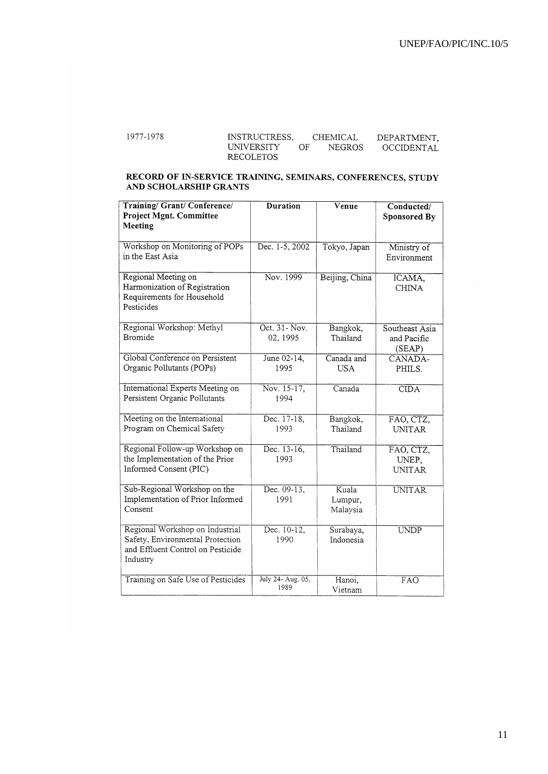| 1977-1978 | INSTRUCTRESS.     |    | CHEMICAL      | DEPARTMENT. |
|-----------|-------------------|----|---------------|-------------|
|           | <b>UNIVERSITY</b> | OF | <b>NEGROS</b> | OCCIDENTAL  |
|           | RECOLETOS         |    |               |             |

# RECORD OF IN-SERVICE TRAINING, SEMINARS, CONFERENCES, STUDY AND SCHOLARSHIP GRANTS

| <b>Training/Grant/Conference/</b><br><b>Project Mgnt. Committee</b>   | <b>Duration</b>   | Venue          | Conducted/<br>Sponsored By |
|-----------------------------------------------------------------------|-------------------|----------------|----------------------------|
| Meeting                                                               |                   |                |                            |
| Workshop on Monitoring of POPs                                        | Dec. 1-5, 2002    | Tokyo, Japan   | Ministry of                |
| in the East Asia                                                      |                   |                | Environment                |
| Regional Meeting on                                                   | Nov. 1999         | Beijing, China | ICAMA,                     |
| Harmonization of Registration<br>Requirements for Household           |                   |                | <b>CHINA</b>               |
| Pesticides                                                            |                   |                |                            |
| Regional Workshop: Methyl                                             | Oct. 31- Nov.     | Bangkok,       | Southeast Asia             |
| <b>Bromide</b>                                                        | 02, 1995          | Thailand       | and Pacific<br>(SEAP)      |
| Global Conference on Persistent                                       | June 02-14,       | Canada and     | CANADA-                    |
| Organic Pollutants (POPs)                                             | 1995              | <b>USA</b>     | PHILS.                     |
| International Experts Meeting on                                      | Nov. 15-17,       | Canada         | CIDA                       |
| Persistent Organic Pollutants                                         | 1994              |                |                            |
| Meeting on the International                                          | Dec. 17-18,       | Bangkok,       | FAO, CTZ,                  |
| Program on Chemical Safety                                            | 1993              | Thailand       | <b>UNITAR</b>              |
| Regional Follow-up Workshop on                                        | Dec. 13-16,       | Thailand       | FAO, CTZ,                  |
| the Implementation of the Prior<br>Informed Consent (PIC)             | 1993              |                | UNEP.                      |
|                                                                       |                   |                | <b>UNITAR</b>              |
| Sub-Regional Workshop on the                                          | Dec. $09-13$ ,    | Kuala          | <b>UNITAR</b>              |
| Implementation of Prior Informed<br>Consent                           | 1991              | Lumpur,        |                            |
|                                                                       |                   | Malaysia       |                            |
| Regional Workshop on Industrial                                       | Dec. $10-12$ ,    | Surabaya,      | <b>UNDP</b>                |
| Safety, Environmental Protection<br>and Effluent Control on Pesticide | 1990              | Indonesia      |                            |
| Industry                                                              |                   |                |                            |
| Training on Safe Use of Pesticides                                    | July 24- Aug. 05, | Hanoi,         | FAO                        |
|                                                                       | 1989              | Vietnam        |                            |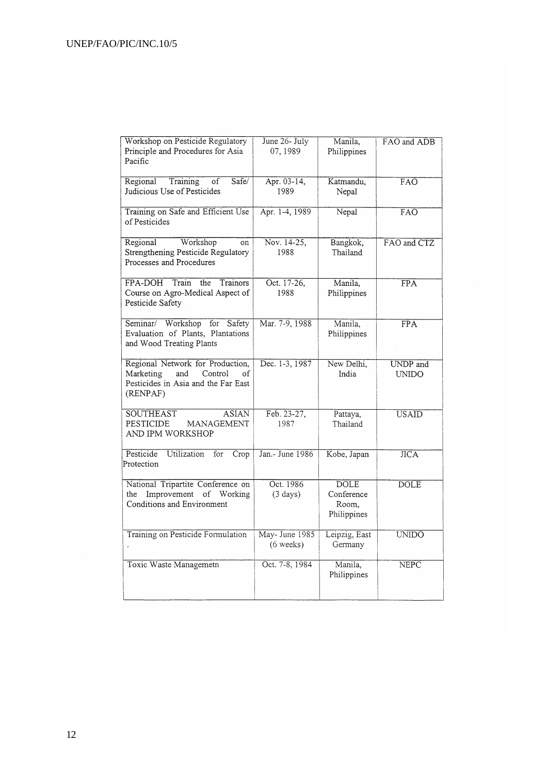| Workshop on Pesticide Regulatory<br>Principle and Procedures for Asia<br>Pacific                                         | June 26- July<br>07, 1989       | Manila,<br>Philippines                            | FAO and ADB              |
|--------------------------------------------------------------------------------------------------------------------------|---------------------------------|---------------------------------------------------|--------------------------|
| Training<br>Regional<br>of<br>Safe/<br>Judicious Use of Pesticides                                                       | Apr. 03-14,<br>1989             | Katmandu,<br>Nepal                                | FAO                      |
| Training on Safe and Efficient Use<br>of Pesticides                                                                      | Apr. 1-4, 1989                  | Nepal                                             | $\overline{FAO}$         |
| Workshop<br>Regional<br>on<br>Strengthening Pesticide Regulatory<br>Processes and Procedures                             | Nov. 14-25,<br>1988             | Bangkok,<br>Thailand                              | FAO and CTZ              |
| FPA-DOH<br>Train<br>the<br>Trainors<br>Course on Agro-Medical Aspect of<br>Pesticide Safety                              | Oct. 17-26,<br>1988             | Manila,<br>Philippines                            | $\overline{\text{FPA}}$  |
| Seminar/ Workshop for<br>Safety<br>Evaluation of Plants, Plantations<br>and Wood Treating Plants                         | Mar. 7-9, 1988                  | Manila,<br>Philippines                            | $\overline{\text{FPA}}$  |
| Regional Network for Production,<br>Marketing<br>and<br>Control<br>of<br>Pesticides in Asia and the Far East<br>(RENPAF) | Dec. 1-3, 1987                  | New Delhi,<br>India                               | UNDP and<br>UNIDO        |
| <b>SOUTHEAST</b><br>ASIAN<br><b>MANAGEMENT</b><br><b>PESTICIDE</b><br>AND IPM WORKSHOP                                   | Feb. 23-27,<br>1987             | Pattaya,<br>Thailand                              | <b>USAID</b>             |
| Utilization<br>for<br>Pesticide<br>Crop<br>Protection                                                                    | Jan.- June 1986                 | Kobe, Japan                                       | $\overline{\text{JICA}}$ |
| National Tripartite Conference on<br>Improvement<br>of<br>Working<br>the<br>Conditions and Environment                   | Oct. 1986<br>$(3 \text{ days})$ | <b>DOLE</b><br>Conference<br>Room,<br>Philippines | <b>DOLE</b>              |
| Training on Pesticide Formulation                                                                                        | May-June 1985<br>$(6$ weeks)    | Leipzig, East<br>Germany                          | <b>UNIDO</b>             |
| Toxic Waste Managemetn                                                                                                   | Oct. 7-8, 1984                  | Manila,<br>Philippines                            | $\overline{\text{NEPC}}$ |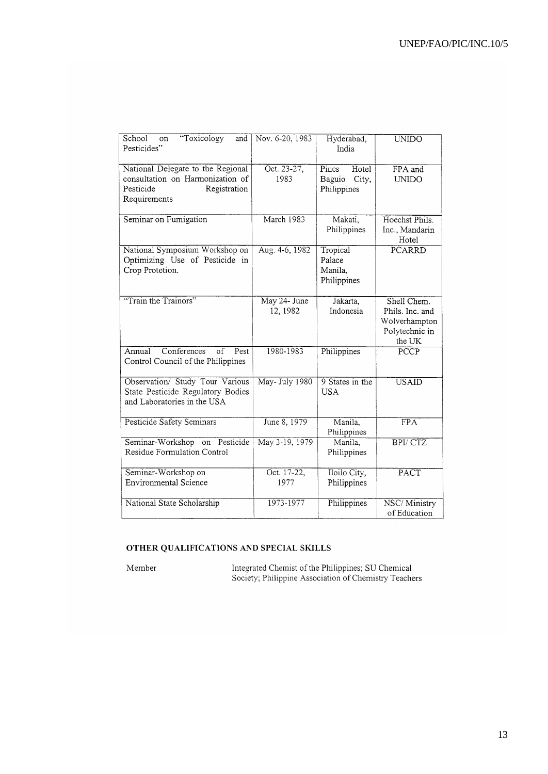| School<br>"Toxicology<br>and<br>on<br>Pesticides"                                                                  | Nov. 6-20, 1983          | Hyderabad,<br>India                              | <b>UNIDO</b>                                                                |
|--------------------------------------------------------------------------------------------------------------------|--------------------------|--------------------------------------------------|-----------------------------------------------------------------------------|
| National Delegate to the Regional<br>consultation on Harmonization of<br>Pesticide<br>Registration<br>Requirements | Oct. 23-27,<br>1983      | Pines<br>Hotel<br>Baguio<br>City,<br>Philippines | FPA and<br><b>UNIDO</b>                                                     |
| Seminar on Fumigation                                                                                              | March 1983               | Makati,<br>Philippines                           | Hoechst Phils.<br>Inc., Mandarin<br>Hotel                                   |
| National Symposium Workshop on<br>Optimizing Use of Pesticide in<br>Crop Protetion.                                | Aug. 4-6, 1982           | Tropical<br>Palace<br>Manila,<br>Philippines     | PCARRD                                                                      |
| "Train the Trainors"                                                                                               | May 24- June<br>12, 1982 | Jakarta,<br>Indonesia                            | Shell Chem.<br>Phils. Inc. and<br>Wolverhampton<br>Polytechnic in<br>the UK |
| Conferences<br>$\overline{of}$<br>Pest<br>Annual<br>Control Council of the Philippines                             | 1980-1983                | Philippines                                      | PCCP                                                                        |
| Observation/ Study Tour Various<br>State Pesticide Regulatory Bodies<br>and Laboratories in the USA                | May-July 1980            | 9 States in the<br><b>USA</b>                    | <b>USAID</b>                                                                |
| <b>Pesticide Safety Seminars</b>                                                                                   | June 8, 1979             | Manila,<br>Philippines                           | $\overline{FPA}$                                                            |
| Seminar-Workshop on Pesticide<br>Residue Formulation Control                                                       | May 3-19, 1979           | Manila,<br>Philippines                           | <b>BPI/CTZ</b>                                                              |
| Seminar-Workshop on<br><b>Environmental Science</b>                                                                | Oct. 17-22,<br>1977      | Iloilo City,<br>Philippines                      | PACT                                                                        |
| National State Scholarship                                                                                         | 1973-1977                | Philippines                                      | NSC/Ministry<br>of Education                                                |

### OTHER QUALIFICATIONS AND SPECIAL SKILLS

Member

Integrated Chemist of the Philippines; SU Chemical<br>Society; Philippine Association of Chemistry Teachers